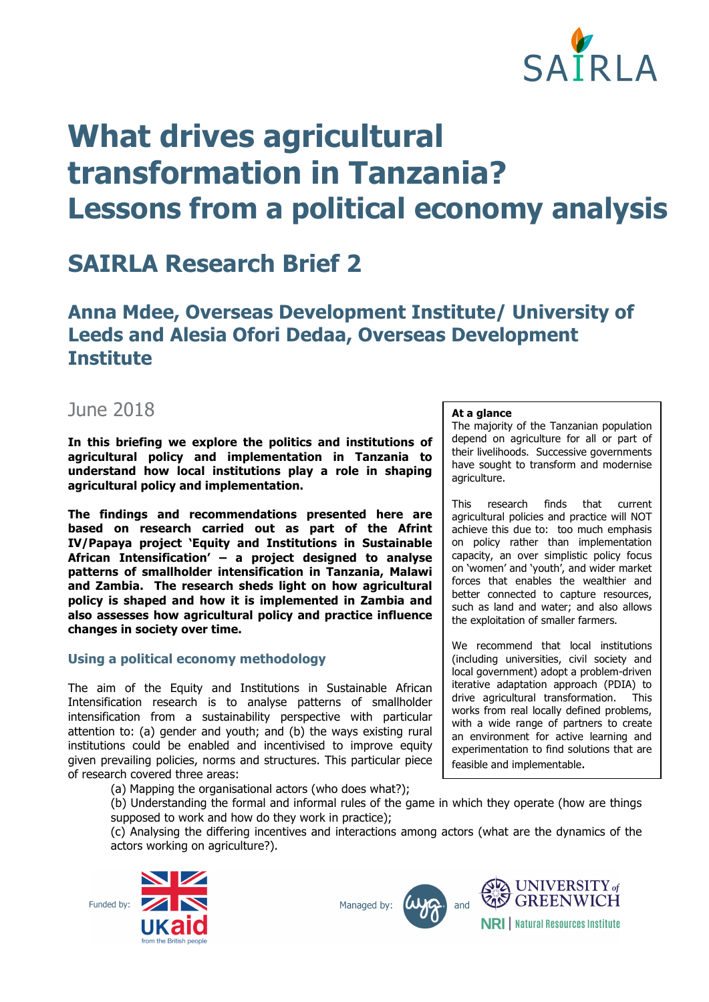

# **What drives agricultural transformation in Tanzania? Lessons from a political economy analysis**

# **SAIRLA Research Brief 2**

## **Anna Mdee, Overseas Development Institute/ University of Leeds and Alesia Ofori Dedaa, Overseas Development Institute**

### June 2018

**In this briefing we explore the politics and institutions of agricultural policy and implementation in Tanzania to understand how local institutions play a role in shaping agricultural policy and implementation.** 

**The findings and recommendations presented here are based on research carried out as part of the Afrint IV/Papaya project 'Equity and Institutions in Sustainable African Intensification' – a project designed to analyse patterns of smallholder intensification in Tanzania, Malawi and Zambia. The research sheds light on how agricultural policy is shaped and how it is implemented in Zambia and also assesses how agricultural policy and practice influence changes in society over time.**

#### **Using a political economy methodology**

The aim of the Equity and Institutions in Sustainable African Intensification research is to analyse patterns of smallholder intensification from a sustainability perspective with particular attention to: (a) gender and youth; and (b) the ways existing rural institutions could be enabled and incentivised to improve equity given prevailing policies, norms and structures. This particular piece of research covered three areas:

(a) Mapping the organisational actors (who does what?);

(b) Understanding the formal and informal rules of the game in which they operate (how are things supposed to work and how do they work in practice);

(c) Analysing the differing incentives and interactions among actors (what are the dynamics of the actors working on agriculture?).









**At a glance**

The majority of the Tanzanian population depend on agriculture for all or part of their livelihoods. Successive governments have sought to transform and modernise agriculture.

This research finds that current agricultural policies and practice will NOT achieve this due to: too much emphasis on policy rather than implementation capacity, an over simplistic policy focus on 'women' and 'youth', and wider market forces that enables the wealthier and better connected to capture resources. such as land and water; and also allows the exploitation of smaller farmers.

We recommend that local institutions (including universities, civil society and local government) adopt a problem-driven iterative adaptation approach (PDIA) to drive agricultural transformation. This works from real locally defined problems, with a wide range of partners to create an environment for active learning and experimentation to find solutions that are feasible and implementable.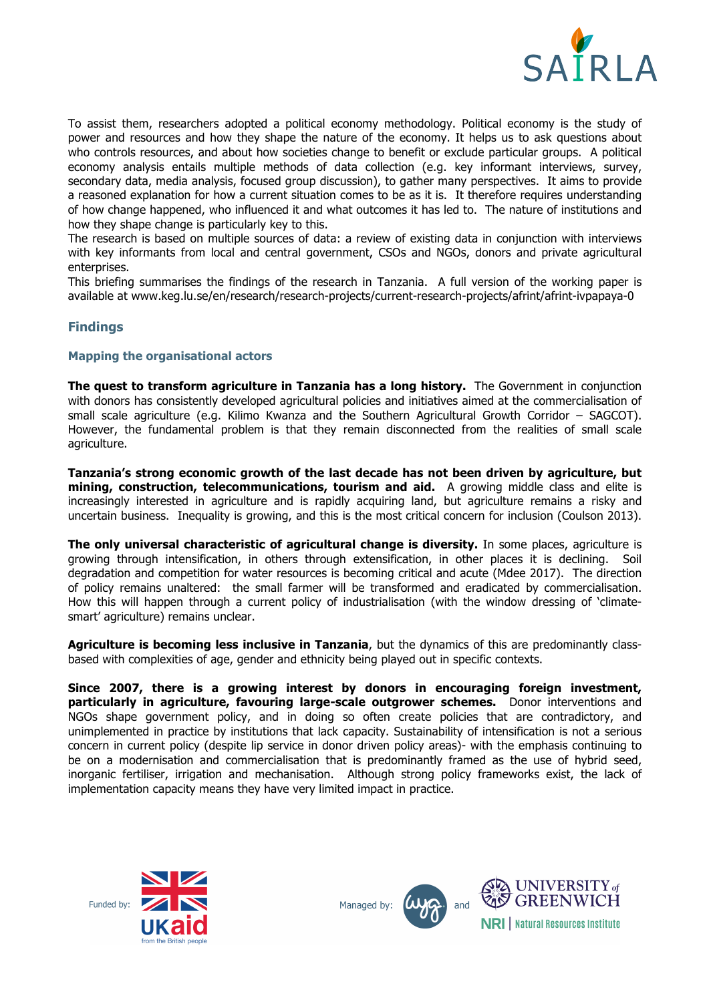

To assist them, researchers adopted a political economy methodology. Political economy is the study of power and resources and how they shape the nature of the economy. It helps us to ask questions about who controls resources, and about how societies change to benefit or exclude particular groups. A political economy analysis entails multiple methods of data collection (e.g. key informant interviews, survey, secondary data, media analysis, focused group discussion), to gather many perspectives. It aims to provide a reasoned explanation for how a current situation comes to be as it is. It therefore requires understanding of how change happened, who influenced it and what outcomes it has led to. The nature of institutions and how they shape change is particularly key to this.

The research is based on multiple sources of data: a review of existing data in conjunction with interviews with key informants from local and central government, CSOs and NGOs, donors and private agricultural enterprises.

This briefing summarises the findings of the research in Tanzania. A full version of the working paper is available at www.keg.lu.se/en/research/research-projects/current-research-projects/afrint/afrint-ivpapaya-0

#### **Findings**

#### **Mapping the organisational actors**

**The quest to transform agriculture in Tanzania has a long history.** The Government in conjunction with donors has consistently developed agricultural policies and initiatives aimed at the commercialisation of small scale agriculture (e.g. Kilimo Kwanza and the Southern Agricultural Growth Corridor – SAGCOT). However, the fundamental problem is that they remain disconnected from the realities of small scale agriculture.

**Tanzania's strong economic growth of the last decade has not been driven by agriculture, but mining, construction, telecommunications, tourism and aid.** A growing middle class and elite is increasingly interested in agriculture and is rapidly acquiring land, but agriculture remains a risky and uncertain business. Inequality is growing, and this is the most critical concern for inclusion (Coulson 2013).

**The only universal characteristic of agricultural change is diversity.** In some places, agriculture is growing through intensification, in others through extensification, in other places it is declining. Soil degradation and competition for water resources is becoming critical and acute (Mdee 2017). The direction of policy remains unaltered: the small farmer will be transformed and eradicated by commercialisation. How this will happen through a current policy of industrialisation (with the window dressing of 'climatesmart' agriculture) remains unclear.

**Agriculture is becoming less inclusive in Tanzania**, but the dynamics of this are predominantly classbased with complexities of age, gender and ethnicity being played out in specific contexts.

**Since 2007, there is a growing interest by donors in encouraging foreign investment, particularly in agriculture, favouring large-scale outgrower schemes.** Donor interventions and NGOs shape government policy, and in doing so often create policies that are contradictory, and unimplemented in practice by institutions that lack capacity. Sustainability of intensification is not a serious concern in current policy (despite lip service in donor driven policy areas)- with the emphasis continuing to be on a modernisation and commercialisation that is predominantly framed as the use of hybrid seed, inorganic fertiliser, irrigation and mechanisation. Although strong policy frameworks exist, the lack of implementation capacity means they have very limited impact in practice.







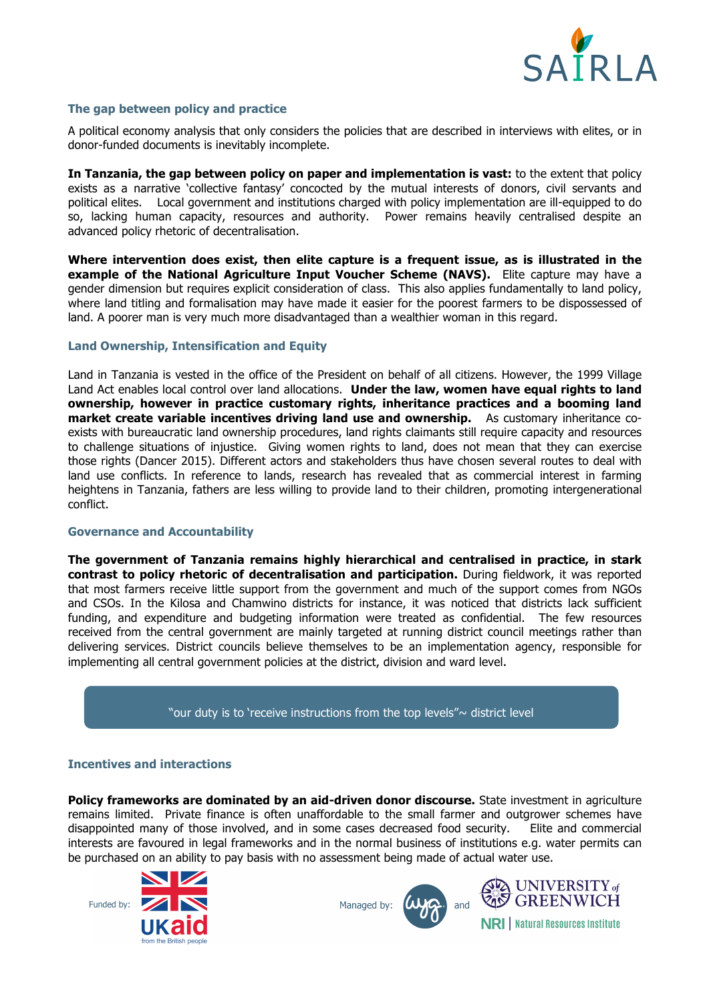

#### **The gap between policy and practice**

A political economy analysis that only considers the policies that are described in interviews with elites, or in donor-funded documents is inevitably incomplete.

**In Tanzania, the gap between policy on paper and implementation is vast:** to the extent that policy exists as a narrative 'collective fantasy' concocted by the mutual interests of donors, civil servants and political elites. Local government and institutions charged with policy implementation are ill-equipped to do so, lacking human capacity, resources and authority. Power remains heavily centralised despite an advanced policy rhetoric of decentralisation.

**Where intervention does exist, then elite capture is a frequent issue, as is illustrated in the example of the National Agriculture Input Voucher Scheme (NAVS).** Elite capture may have a gender dimension but requires explicit consideration of class. This also applies fundamentally to land policy, where land titling and formalisation may have made it easier for the poorest farmers to be dispossessed of land. A poorer man is very much more disadvantaged than a wealthier woman in this regard.

#### **Land Ownership, Intensification and Equity**

Land in Tanzania is vested in the office of the President on behalf of all citizens. However, the 1999 Village Land Act enables local control over land allocations. **Under the law, women have equal rights to land ownership, however in practice customary rights, inheritance practices and a booming land market create variable incentives driving land use and ownership.** As customary inheritance coexists with bureaucratic land ownership procedures, land rights claimants still require capacity and resources to challenge situations of injustice. Giving women rights to land, does not mean that they can exercise those rights (Dancer 2015). Different actors and stakeholders thus have chosen several routes to deal with land use conflicts. In reference to lands, research has revealed that as commercial interest in farming heightens in Tanzania, fathers are less willing to provide land to their children, promoting intergenerational conflict.

#### **Governance and Accountability**

**The government of Tanzania remains highly hierarchical and centralised in practice, in stark contrast to policy rhetoric of decentralisation and participation.** During fieldwork, it was reported that most farmers receive little support from the government and much of the support comes from NGOs and CSOs. In the Kilosa and Chamwino districts for instance, it was noticed that districts lack sufficient funding, and expenditure and budgeting information were treated as confidential. The few resources received from the central government are mainly targeted at running district council meetings rather than delivering services. District councils believe themselves to be an implementation agency, responsible for implementing all central government policies at the district, division and ward level.

"our duty is to 'receive instructions from the top levels" $\sim$  district level

#### **Incentives and interactions**

**Policy frameworks are dominated by an aid-driven donor discourse.** State investment in agriculture remains limited. Private finance is often unaffordable to the small farmer and outgrower schemes have disappointed many of those involved, and in some cases decreased food security. Elite and commercial interests are favoured in legal frameworks and in the normal business of institutions e.g. water permits can be purchased on an ability to pay basis with no assessment being made of actual water use.



Managed by:



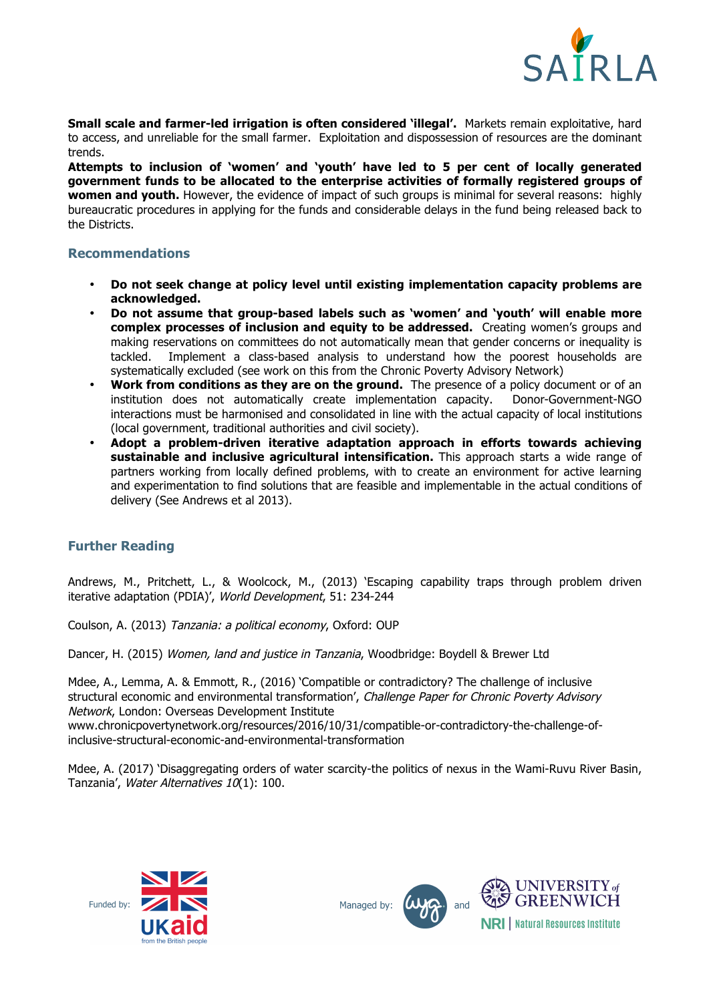

**Small scale and farmer-led irrigation is often considered 'illegal'.** Markets remain exploitative, hard to access, and unreliable for the small farmer. Exploitation and dispossession of resources are the dominant trends.

**Attempts to inclusion of 'women' and 'youth' have led to 5 per cent of locally generated government funds to be allocated to the enterprise activities of formally registered groups of women and youth.** However, the evidence of impact of such groups is minimal for several reasons: highly bureaucratic procedures in applying for the funds and considerable delays in the fund being released back to the Districts.

#### **Recommendations**

- **Do not seek change at policy level until existing implementation capacity problems are acknowledged.**
- **Do not assume that group-based labels such as 'women' and 'youth' will enable more complex processes of inclusion and equity to be addressed.** Creating women's groups and making reservations on committees do not automatically mean that gender concerns or inequality is tackled. Implement a class-based analysis to understand how the poorest households are systematically excluded (see work on this from the Chronic Poverty Advisory Network)
- **Work from conditions as they are on the ground.** The presence of a policy document or of an institution does not automatically create implementation capacity. Donor-Government-NGO interactions must be harmonised and consolidated in line with the actual capacity of local institutions (local government, traditional authorities and civil society).
- **Adopt a problem-driven iterative adaptation approach in efforts towards achieving sustainable and inclusive agricultural intensification.** This approach starts a wide range of partners working from locally defined problems, with to create an environment for active learning and experimentation to find solutions that are feasible and implementable in the actual conditions of delivery (See Andrews et al 2013).

#### **Further Reading**

Andrews, M., Pritchett, L., & Woolcock, M., (2013) 'Escaping capability traps through problem driven iterative adaptation (PDIA)', World Development, 51: 234-244

Coulson, A. (2013) Tanzania: a political economy, Oxford: OUP

Dancer, H. (2015) Women, land and justice in Tanzania, Woodbridge: Boydell & Brewer Ltd

Mdee, A., Lemma, A. & Emmott, R., (2016) 'Compatible or contradictory? The challenge of inclusive structural economic and environmental transformation', Challenge Paper for Chronic Poverty Advisory Network, London: Overseas Development Institute www.chronicpovertynetwork.org/resources/2016/10/31/compatible-or-contradictory-the-challenge-of-

inclusive-structural-economic-and-environmental-transformation

Mdee, A. (2017) 'Disaggregating orders of water scarcity-the politics of nexus in the Wami-Ruvu River Basin, Tanzania', Water Alternatives 10(1): 100.